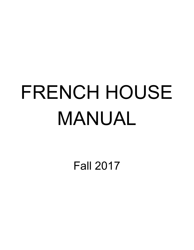## FRENCH HOUSE MANUAL

Fall 2017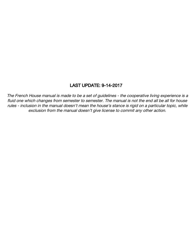#### LAST UPDATE: 9-14-2017

The French House manual is made to be <sup>a</sup> set of guidelines - the cooperative living experience is <sup>a</sup> fluid one which changes from semester to semester. The manual is not the end all be all for house rules - inclusion in the manual doesn't mean the house's stance is rigid on <sup>a</sup> particular topic, while exclusion from the manual doesn't give license to commit any other action.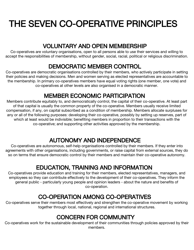## THE SEVEN CO-OPERATIVE PRINCIPLES

## VOLUNTARY AND OPEN MEMBERSHIP

Co-operatives are voluntary organisations, open to all persons able to use their services and willing to accept the responsibilities of membership, without gender, social, racial, political or religious discrimination.

## DEMOCRATIC MEMBER CONTROL

Co-operatives are democratic organisations controlled by their members, who actively participate in setting their policies and making decisions. Men and women serving as elected representatives are accountable to the membership. In primary co-operatives members have equal voting rights (one member, one vote) and co-operatives at other levels are also organised in a democratic manner.

## MEMBER ECONOMIC PARTICIPATION

Members contribute equitably to, and democratically control, the capital of their co-operative. At least part of that capital is usually the common property of the co-operative. Members usually receive limited compensation, if any, on capital subscribed as a condition of membership. Members allocate surpluses for any or all of the following purposes: developing their co-operative, possibly by setting up reserves, part of which at least would be indivisible; benefiting members in proportion to their transactions with the co-operative; and supporting other activities approved by the membership.

## AUTONOMY AND INDEPENDENCE

Co-operatives are autonomous, self-help organisations controlled by their members. If they enter into agreements with other organisations, including governments, or raise capital from external sources, they do so on terms that ensure democratic control by their members and maintain their co-operative autonomy.

## EDUCATION, TRAINING AND INFORMATION

Co-operatives provide education and training for their members, elected representatives, managers, and employees so they can contribute effectively to the development of their co-operatives. They inform the general public - particularly young people and opinion leaders - about the nature and benefits of co-operation.

## CO-OPERATION AMONG CO-OPERATIVES

Co-operatives serve their members most effectively and strengthen the co-operative movement by working together through local, national, regional and international structures.

## CONCERN FOR COMMUNITY

Co-operatives work for the sustainable development of their communities through policies approved by their members.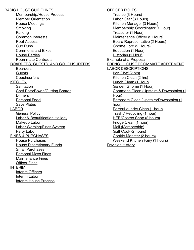BASIC HOUSE GUIDELINES Membership/House Process Member Orientation House Meetings **Smoking** Parking Common Interests Roof Access Cup Runs Commons and Bikes House Parties Roommate Contracts BOARDERS, GUESTS, AND COUCHSURFERS Boarders **Guests Couchsurfers KITCHEN Sanitation** Chef Pots/Bowls/Cutting Boards **Dinners** Personal Food Save Plates LABOR General Policy Labor & Beautification Holiday Makeup Labor Labor Warning/Fines System Party Labor FINES & PURCHASES House Purchases House Discretionary Funds Small Purchases Personal Mess Fines Maintenance Fines Officer Fines INTERIM Interim Officers Interim Labor Interim House Process

OFFICER ROLES Trustee (3 Hours) Labor Czar (3 Hours) Kitchen Manager (3 Hours) Membership Coordinator (1 Hour) Treasurer (1 Hour) Maintenance Officer (2 Hours) Board Representative (2 Hours) Gnome Lord (2 Hours) Education (1 Hour) Historian (1 Hour) Example of a Proposal FRENCH HOUSE ROOMMATE AGREEMENT LABOR DESCRIPTIONS Iron Chef (2 hrs) Kitchen Clean (2 hrs) Lunch Clean (1 Hour) Garden Gnome (1 Hour) Commons Clean (Upstairs & Downstairs) (1 Hour) Bathroom Clean (Upstairs/Downstairs) (1 hour) Porch/Laundry Clean (1 hour) Trash / Recycling (1 hour) HEB/Costco Shop (2 hours) Fridge Clean (1 hour) Mail (Membership) Guff Cook (2 hours) Cookie Monster (2 hours) Weekend Kitchen Fairy (1 hours) Revision History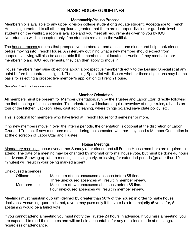#### BASIC HOUSE GUIDELINES

#### Membership/House Process

Membership is available to any upper division college student or graduate student. Acceptance to French House is guaranteed to all other applicants granted that there are no upper division or graduate level students on the waitlist, a room is available and you meet all requirements given to you by ICC. Non-students will be accepted only if no students remain on the waitlist.

The house process requires that prospective members attend at least one dinner and help cook dinner, before moving into French House. An interview outlining what a new member should expect from cooperative living will also be acceptable if the member is not located in Austin. If they meet all other membership and ICC requirements, they can then apply to move in.

House members may raise objections about a prospective member directly to the Leasing Specialist at any point before the contract is signed. The Leasing Specialist will discern whether these objections may be the basis for rejecting a prospective member's application to French House.

See also, Interim: House Process

#### Member Orientation

All members must be present for Member Orientation, run by the Trustee and Labor Czar, directly following the first meeting of each semester. This orientation will include a quick overview of major rules, a hands on tour of the kitchen (Jackson rules, cast iron cleaning, where things go/are,) save plate policy, etc.

This is optional for members who have lived at French House for 3 semester or more.

If no new members move in over the interim periods, the orientation is optional at the discretion of Labor Czar and Trustee. If new members move in during the semester, whether they need a Member Orientation is at the discretion of Labor Czar and Trustee.

#### House Meetings

Mandatory meetings occur every other Sunday after dinner, and all French House members are required to attend. The date of a meeting may be changed by informal or formal house vote, but must be done 48 hours in advance. Showing up late to meetings, leaving early, or leaving for extended periods (greater than 10 minutes) will result in your being marked absent.

Unexcused absences

| <b>Officers</b> | Maximum of one unexcused absence before \$5 fine.      |
|-----------------|--------------------------------------------------------|
|                 | Three unexcused absences will result in member review. |
| <b>Members</b>  | Maximum of two unexcused absences before \$5 fine.     |
|                 | Four unexcused absences will result in member review.  |

Meetings must maintain quorum (defined by greater than 50% of the house) in order to make house decisions. Assuming quorum is met, a vote may pass only if the vote is a true majority (5 votes for, 5 abstaining would be a failed vote.)

If you cannot attend a meeting you must notify the Trustee 24 hours in advance. If you miss a meeting, you are expected to read the minutes and will be held accountable for any decisions made at meetings, regardless of attendance.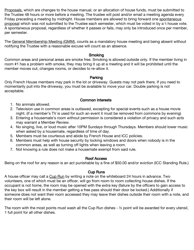Proposals, which are changes to the house manual, or an allocation of house funds, must be submitted to the Trustee 48 hours or more before a meeting. The trustee will post and/or email a meeting agenda every Friday preceding a meeting by midnight. House members are allowed to bring forward one spontaneous proposal which was not submitted to the Trustee each semester, which must be voted in by a <sup>%</sup> house vote. A spontaneous proposal, regardless of whether it passes or fails, may only be introduced once per member, per semester.

The General Membership Meeting (GMM), counts as a mandatory house meeting and being absent without notifying the Trustee with a reasonable excuse will count as an absence.

#### **Smoking**

Common areas and personal areas are smoke free. Smoking is allowed outside only. If the member living in room #1 has a problem with smoke, they may bring it up at a meeting and it will be prohibited until the member moves out, changes rooms, or decides to re-allow it.

#### Parking

Only French House members may park in the lot or driveway. Guests may not park there. If you need to momentarily pull into the driveway, you must be available to move your car. Double parking is not acceptable.

#### Common Interests

- 1. No animals allowed.
- 2. Television use in common areas is outlawed, excepting for special events such as a house movie night. (if a member's TV is used for such an event it must be removed from commons by evening)
- 3. Entering a housemate's room without permission is considered a violation of privacy and such acts may warrant a Member Review.
- 4. No singing, live, or loud music after 10PM Sundays through Thursdays. Members should lower music when asked by a housemate, regardless of time of day.
- 5. Members must be courteous and abide by French House and ICC policies.
- 6. Members must help with house security by locking windows and doors when nobody is in the common areas, as well as turning off lights when leaving a room.
- 7. Not knowing a rule does not make a housemate exempt from said rule.

#### Roof Access

Being on the roof for any reason is an act punishable by a fine of \$50.00 and/or eviction (ICC Standing Rule.)

#### Cup Runs

A house officer may call a Cup Run by writing a note on the whiteboard 24 hours in advance. Two volunteers, one of which must be an officer, will go from room to room collecting house dishes. If the occupant is not home, the room may be opened with the extra key (failure by the officers to gain access to the key box will result in the member getting a free pass should their door be locked.) Additionally if someone does not want their room accessed they may leave their dishes outside their room with a note, and their room will be left alone.

The room with the most points must wash all the Cup Run dishes - ½ point will be awarded for every utensil, 1 full point for all other dishes.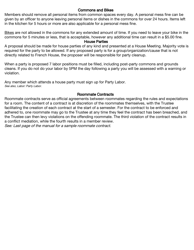#### Commons and Bikes

Members should remove all personal items from common spaces every day. A personal mess fine can be given by an officer to anyone leaving personal items or dishes in the commons for over 24 hours. Items left in the kitchen for 5 hours or more are also applicable for a personal mess fine.

Bikes are not allowed in the commons for any extended amount of time. If you need to leave your bike in the commons for 5 minutes or less, that is acceptable, however any additional time can result in a \$5.00 fine.

#### House Parties

A proposal should be made for house parties of any kind and presented at a House Meeting. Majority vote is required for the party to be allowed. If any proposed party is for a group/organization/cause that is not directly related to French House, the proposer will be responsible for party cleanup.

When a party is proposed 7 labor positions must be filled, including post-party commons and grounds cleans. If you do not do your labor by 5PM the day following a party you will be assessed with a warning or violation.

Any member which attends a house party must sign up for Party Labor. See also, Labor: Party Labor.

#### Roommate Contracts

Roommate contracts serve as official agreements between roommates regarding the rules and expectations for a room. The content of a contract is at discretion of the roommates themselves, with the Trustee facilitating the creation of each contract at the start of a semester. For the contract to be enforced and adhered to, one roommate may go to the Trustee at any time they feel the contract has been breached, and the Trustee can then levy violations on the offending roommate. The third violation of the contract results in a conflict mediation, while the fourth results in a member review. See: Last page of the manual for <sup>a</sup> sample roommate contract.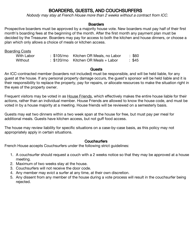#### BOARDERS, GUESTS, AND COUCHSURFERS

Nobody may stay at French House more than 2 weeks without <sup>a</sup> contract from ICC.

#### **Boarders**

Prospective boarders must be approved by a majority house vote. New boarders must pay half of their first month's boarding fees at the beginning of the month. After the first month any payment plan must be decided by the Treasurer. Boarders may pay for access to both the kitchen and house dinners, or choose a plan which only allows a choice of meals or kitchen access.

Boarding Costs

| With Labor |  | : \$105/mo Kitchen OR Meals, no Labor | :\$60  |
|------------|--|---------------------------------------|--------|
| Without    |  | $: $120/mo$ Kitchen OR Meals + Labor  | : \$45 |

#### **Guests**

An ICC-contracted member (boarders not included) must be responsible, and will be held liable, for any guest at the house. If any personal property damage occurs, the guest's sponsor will be held liable and it is their responsibility to replace the property, pay for repairs, or allocate resources to make the situation right in the eyes of the property owner.

Frequent visitors may be voted in as House Friends, which effectively makes the entire house liable for their actions, rather than an individual member. House Friends are allowed to know the house code, and must be voted in by a house majority at a meeting. House friends will be reviewed on a semesterly basis.

Guests may eat two dinners within a two week span at the house for free, but must pay per meal for additional meals. Guests have kitchen access, but not guff food access.

The house may review liability for specific situations on a case-by-case basis, as this policy may not appropriately apply in certain situations.

#### **Couchsurfers**

French House accepts Couchsurfers under the following strict guidelines:

- 1. A couchsurfer should request a couch with a 2 weeks notice so that they may be approved at a house meeting.
- 2. Maximum of two weeks stay at the house.
- 3. Couchsurfers will not receive the door code.
- 4. Any member may evict a surfer at any time, at their own discretion.
- 5. Any dissent from any member of the house during a vote process will result in the couchsurfer being rejected.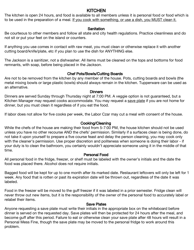#### KITCHEN

The kitchen is open 24 hours, and food is available to all members unless it is personal food or food which is to be used in the preparation of a meal. If you cook with something, or use a dish, you MUST clean it.

#### **Sanitation**

Be courteous to other members and follow all state and city health regulations. Practice cleanliness and do not sit or put your feet on the island or counters.

If anything you use comes in contact with raw meat, you must clean or otherwise replace it with another cutting board/knife/plate, etc if you plan to use the dish for ANYTHING else.

The Jackson is a sanitizer, not a dishwasher. All items must be cleaned on the tops and bottoms for food remnants, with soap, before being placed in the Jackson.

#### Chef Pots/Bowls/Cutting Boards

Are not to be removed from the kitchen by any member of the house. Pots, cutting boards and bowls (the metal mixing bowls or large plastic bowls) should always remain in the kitchen. Tupperware can be used as an alternative.

#### **Dinners**

Dinners are served Sunday through Thursday night at 7:00 PM. A veggie option is not guaranteed, but a Kitchen Manager may request cooks accommodate. You may request a save plate if you are not home for dinner, but you must clean it regardless of if you eat the food.

If labor does not allow for five cooks per week, the Labor Czar may cut a meal with consent of the house.

#### Cooking/Cleaning

While the chefs of the house are making their food from 5-7:00 PM, the house kitchen should not be used unless you have no other recourse AND the chefs' permission. Similarly if a surfaces clean is being done, do not take it upon yourself to prepare a five course feast and delay the person cleaning, you may cook only with the cleaner's permission. Use proper discretion and politeness when someone is doing their labor - if your duty is to clean the bathroom, you certainly wouldn't appreciate someone using it in the middle of that time.

#### Personal Food

All personal food in the fridge, freezer, or shelf must be labeled with the owner's initials and the date the food was placed there. Alcohol does not require initials.

Bagged food will be kept for up to one month after its marked date. Restaurant leftovers will only be left for 1 week. Any food that is rotten or past its expiration date will be thrown out, regardless of the date it was labeled.

Food in the freezer will be moved to the guff freezer if it was labeled in a prior semester. Fridge clean will never throw out new items, but it is the responsibility of the owner of the personal food to accurately label or relabel their items.

#### Save Plates

Anyone requesting a save plate must write their initials in the appropriate box on the whiteboard before dinner is served on the requested day. Save plates will then be protected for 24 hours after the meal, and become guff after this period. Failure to eat or otherwise clean your save plate after 48 hours will result in a Personal Mess Fine, though the save plate may be moved to the personal fridge to work around this problem.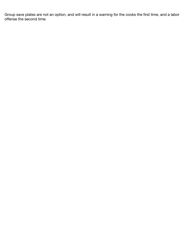Group save plates are not an option, and will result in a warning for the cooks the first time, and a labor offense the second time.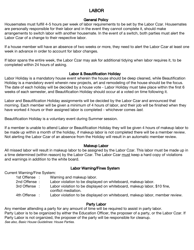#### I AROR

#### General Policy

Housemates must fulfill 4-5 hours per week of labor requirements to be set by the Labor Czar. Housemates are personally responsible for their labor and in the event they cannot complete it, should make arrangements to switch labor with another housemate. In the event of a switch, both parties must alert the Labor Czar of a change to their respective labor.

If a house member will have an absence of two weeks or more, they need to alert the Labor Czar at least one week in advance in order to account for labor changes.

If labor spans the entire week, the Labor Czar may ask for additional tidying when labor requires it, to be completed within 24 hours of asking.

#### Labor & Beautification Holiday

Labor Holiday is a mandatory house event wherein the house should be deep cleaned, while Beautification Holiday is a mandatory event wherein new projects, art and remodeling of the house should be the focus. The date of each holiday will be decided by a house vote - Labor Holiday must take place within the first 6 weeks of each semester, and Beautification Holiday should occur at a voted on time following it.

Labor and Beautification Holiday assignments will be decided by the Labor Czar and announced that morning. Each member will be given a minimum of 4 hours of labor, and their job will be finished when they have worked 4 hours or their assigned labor is completed - whichever comes last.

Beautification Holiday is a voluntary event during Summer session.

If a member is unable to attend Labor or Beautification Holiday they will be given 4 hours of makeup labor to be made up within a month of the holiday, if makeup labor is not completed there will be a member review. Not alerting the Labor Czar of an absence from the Holiday will result in an automatic member review.

#### Makeup Labor

All missed labor will result in makeup labor to be assigned by the Labor Czar. This labor must be made up in a time determined (within reason) by the Labor Czar. The Labor Czar must keep a hard copy of violations and warnings in addition to the white board.

#### Labor Warning/Fines System

Current Warning/Fine System:

- 1st Offense : Warning and makeup labor.
- 2nd Offense : Labor violation to be displayed on whiteboard, makeup labor.
- 3rd Offense : Labor violation to be displayed on whiteboard, makeup labor, \$10 fine, conflict mediation.
- 4th Offense : Labor violation to be displayed on whiteboard, makeup labor, member review.

#### Party Labor

Any member attending a party for any amount of time will be required to assist in party labor. Party Labor is to be organized by either the Education Officer, the proposer of a party, or the Labor Czar. If Party Labor is not organized, the proposer of the party will be responsible for cleanup.

See also, Basic House Guidelines: House Parties.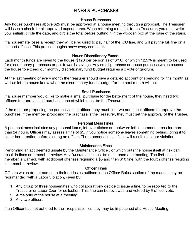#### FINES & PURCHASES

#### House Purchases

Any house purchases above \$25 must be approved at a house meeting through a proposal. The Treasurer will issue a check for all approved expenditures. When returning a receipt to the Treasurer, you must write your initials, circle the date, and circle the total before putting it in the wooden box at the base of the stairs.

If a housemate loses a receipt they will be required to pay half of the ICC fine, and will pay the full fine on a second offense. This process begins anew every semester.

#### House Discretionary Funds

Each month funds are given to the house (\$120 per person as of 6/16), of which 12.5% is meant to be used for discretionary purchases or put towards savings. Any small purchase or house purchase which causes the house to exceed our monthly discretionary fund budget requires a ⅔ vote of quorum.

At the last meeting of every month the treasurer should give a detailed account of spending for the month as well as let the house know what the discretionary funds budget for the next month will be.

#### Small Purchases

If a house member would like to make a small purchase for the betterment of the house, they need two officers to approve said purchase, one of which must be the Treasurer.

If the member proposing the purchase is an officer, they must find two additional officers to approve the purchase. If the member proposing the purchase is the Treasurer, they must get the approval of the Trustee.

#### Personal Mess Fines

A personal mess includes any personal items, leftover dishes or cookware left in common areas for more than 24 hours. Officers may assess a fine of \$5. If you notice someone leaves something behind, bring it to his or her attention before alerting an officer. Three personal mess fines will result in a labor violation.

#### Maintenance Fines

Performing an act deemed unsafe by the Maintenance Officer, or which puts the house itself at risk can result in fines or a member review. Any "unsafe act" must be mentioned at a meeting. The first time a member is warned, with additional offenses requiring a \$5 and then \$10 fine, with the fourth offense resulting in a member review.

#### Officer Fines

Officers which do not complete their duties as outlined in the Officer Roles section of the manual may be reprimanded with a Labor Violation, given by:

- 1. Any group of three housemates who collaboratively decide to issue a fine, to be reported to the Treasurer or Labor Czar for collection. This fine can be reviewed and vetoed by ⅔ officer vote.
- 2. A majority of the house at a meeting.
- 3. Any two officers.

If an Officer has not adhered to their responsibilities they may be impeached at a House Meeting.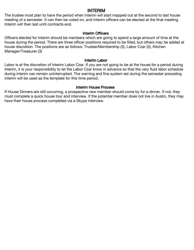#### INTERIM

The trustee must plan to have the period when interim will start mapped out at the second to last house meeting of a semester. It can then be voted on, and interim officers can be elected at the final meeting. Interim will then last until contracts end.

#### Interim Officers

Officers elected for Interim should be members which are going to spend a large amount of time at the house during the period. There are three officer positions required to be filled, but others may be added at house discretion. The positions are as follows: Trustee/Membership (3), Labor Czar (3), Kitchen Manager/Treasurer (3)

#### Interim Labor

Labor is at the discretion of Interim Labor Czar. If you are not going to be at the house for a period during interim, it is your responsibility to let the Labor Czar know in advance so that the very fluid labor schedule during interim can remain uninterrupted. The warning and fine system set during the semester preceding interim will be used as the template for this time period.

#### Interim House Process

If House Dinners are still occurring, a prospective new member should come by for a dinner. If not, they must complete a quick house tour and interview. If the potential member does not live in Austin, they may have their house process completed via a Skype interview.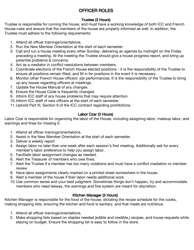#### OFFICER ROLES

#### Trustee (3 Hours)

Trustee is responsible for running the house, and must have a working knowledge of both ICC and French House rules and ensure that the members of the house are properly informed as well. In addition, the Trustee must adhere to the following requirements:

- 1. Attend all officer trainings/orientations.
- 2. Run the New Member Orientation at the start of each semester.
- 3. Call and run a house meeting every other Sunday, delivering an agenda by midnight on the Friday preceding a meeting. At the meeting the Trustee should give a house progress report, and bring up potential problems & concerns.
- 4. Act as a mediator in conflict resolutions between members.
- 5. Coordinate elections of the French House elected positions it is the responsibility of the Trustee to ensure all positions remain filled, and fill in for positions in the event it is necessary.
- 6. Monitor other French House officers' job performances. It is the responsibility of the Trustee to bring up any issues regarding officers at meetings.
- 7. Update the House Manual of any changes.
- 8. Ensure the House Code is frequently changed.
- 9. Inform ICC staff of any house problems that may require attention.
- 10.Inform ICC staff of new officers at the start of each semester.
- 11.Uphold Part III, Section 9 of the ICC contract regarding prohibitions.

#### Labor Czar (3 Hours)

Labor Czar is responsible for organizing the labor of the House, including assigning labor, makeup labor, and warnings and fines for missing it.

- 1. Attend all officer trainings/orientations.
- 2. Assist in the New Member Orientation at the start of each semester.
- 3. Deliver a weekly report
- 4. Assign labor no later than one week after each session's first meeting. Additionally ask for every member's labor preference to help you assign labor.
- 5. Facilitate labor assignment changes as needed.
- 6. Alert the Treasurer of members who owe fines.
- 7. Alert the Trustee if a member has too many violations and must have a conflict mediation or member review.
- 8. Have labor assignments clearly marked on a printed sheet somewhere in the house.
- 9. Alert a member of the house if their labor needs additional work.
- 10.Use common sense and your best judgment. Sometimes things don't happen, try and accommodate members who need leeway, the warnings and fine system are meant for discretion.

#### Kitchen Manager (3 Hours)

Kitchen Manager is responsible for the food of the house, dictating the recipe schedule for the cooks, making shopping lists, ensuring the kitchen and food is sanitary, and that meals are nutritious.

- 1. Attend all officer trainings/orientations.
- 2. Make shopping lists based on staples needed (edible and inedible,) recipes, and house requests while staying on budget. Ensure the shopping list is easy to follow in the store.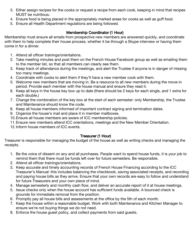- 3. Either assign recipes for the cooks or request a recipe from each cook, keeping in mind that recipes MUST be nutritious.
- 4. Ensure food is being placed in the appropriately marked areas for cooks as well as guff food.
- 5. Ensure all Health Department regulations are being followed.

#### Membership Coordinator (1 Hour)

Membership must ensure all emails from prospective new members are answered quickly, and coordinate with them to help complete their house process, whether it be through a Skype interview or having them come in for a dinner.

- 1. Attend all officer trainings/orientations.
- 2. Take meeting minutes and post them on the French House Facebook group as well as emailing them to the member list, so that all members can clearly see them.
- 3. Keep track of attendance during the meetings, and alert the Trustee if anyone is in danger of missing too many meetings.
- 4. Coordinate with cooks to alert them if they'll have a new member cook with them.
- 5. Welcome new members that are moving in. Be a resource to all new members during the move-in period. Provide each member with the house manual and ensure they read it.
- 6. Keep all keys in the house key box up to date (there should be 2 keys for each single, and 1 extra for each double.)
- 7. Change the combination of the key box at the start of each semester: only Membership, the Trustee and Maintenance should know the code.
- 8. Keep all house members informed of important contract signing and termination dates.
- 9. Organize the house's mail and place it in member mailboxes.
- 10.Ensure all house members are aware of ICC membership policies.
- 11.Ensure new members attend ICC orientations, meetings and the New Member Orientation.
- 12.Inform house members of ICC events.

#### Treasurer (1 Hour)

Treasurer is responsible for managing the budget of the house as well as writing checks and managing the receipts.

- 1. Be the voice of dissent on any and all purchases. People want to spend house funds, it is your job to remind them that there must be funds left over for future semesters. Be responsible.
- 2. Attend all officer trainings/orientations.
- 3. Keep accurate and timely accounting records of French House Financing according to the ICC Treasurer's Manual: this includes balancing the checkbook, saving associated receipts, and recording and paying house bills as they arrive. Ensure that your own records are easy to follow and understand for future Treasurers and your own piece of mind.
- 4. Manage semesterly and monthly cash flow, and deliver an accurate report of it at house meetings.
- 5. Issue checks only when the house account has sufficient funds available. A bounced check is grounds for immediate removal from the position.
- 6. Promptly pay all house bills and assessments at the office by the 5th of each month.
- 7. Keep the house within a reasonable budget. Work with both Maintenance and Kitchen Manager to ensure we're not buying things we do not need.
- 8. Enforce the house guest policy, and collect payments from said guests.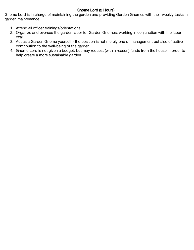#### Gnome Lord (2 Hours)

Gnome Lord is in charge of maintaining the garden and providing Garden Gnomes with their weekly tasks in garden maintenance.

- 1. Attend all officer trainings/orientations
- 2. Organize and oversee the garden labor for Garden Gnomes, working in conjunction with the labor czar.
- 3. Act as a Garden Gnome yourself the position is not merely one of management but also of active contribution to the well-being of the garden.
- 4. Gnome Lord is not given a budget, but may request (within reason) funds from the house in order to help create a more sustainable garden.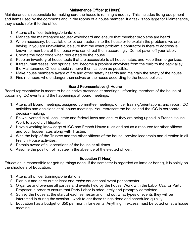#### Maintenance Officer (2 Hours)

Maintenance is responsible for making sure the house is running smoothly. This includes fixing equipment and items used by the commons and in the rooms of a house member. If a task is too large for Maintenance, they should refer it to the office.

- 1. Attend all officer trainings/orientations.
- 2. Manage the maintenance request whiteboard and ensure that member problems are heard.
- 3. When necessary, be available to let contractors into the house or to explain the problems we are having. If you are unavailable, be sure that the exact problem a contractor is there to address is known to members of the house who can direct them accordingly. Do not pawn off your labor.
- 4. Update the door code when requested by the house.
- 5. Keep an inventory of house tools that are accessible to all housemates, and keep them organized.
- 6. If trash, mattresses, box springs, etc. become a problem anywhere from the curb to the back alley, the Maintenance Officer should remove them as soon as possible.
- 7. Make house members aware of fire and other safety hazards and maintain the safety of the house.
- 8. Fine members who endanger themselves or the house according to the house policies.

#### Board Representative (2 Hours)

Board representative is meant to be an active presence at meetings, informing members of the house of upcoming ICC events and the happenings at board meetings.

- 1. Attend all Board meetings, assigned committee meetings, officer training/orientations, and report ICC activities and decisions at all house meetings. You represent the house and the ICC in corporate decision-making.
- 2. Be well versed in all local, state and federal laws and ensure they are being upheld in French House. Work to avoid civil litigation.
- 3. Have a working knowledge of ICC and French House rules and act as a resource for other officers and your housemates along with Trustee.
- 4. With the help of the Trustee and the other officers of the house, provide leadership and direction in all French House activities.
- 5. Remain aware of all operations of the house at all times.
- 6. Assume the position of Trustee in the absence of the elected officer.

#### Education (1 Hour)

Education is responsible for getting things done. If the semester is regarded as lame or boring, it is solely on the shoulders of Education.

- 1. Attend all officer trainings/orientations.
- 2. Plan out and carry out at least one *major* educational event per semester.
- 3. Organize and oversee all parties and events held by the house. Work with the Labor Czar or Party Proposer in order to ensure that Party Labor is adequately and promptly completed.
- 4. Survey the house at the start of each semester and find out what types of events they will be interested in during the session - work to get these things done and scheduled quickly!
- 5. Education has a budget of \$50 per month for events. Anything in excess must be voted on at a house meeting.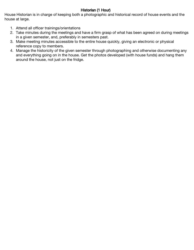#### Historian (1 Hour)

House Historian is in charge of keeping both a photographic and historical record of house events and the house at large.

- 1. Attend all officer trainings/orientations
- 2. Take minutes during the meetings and have a firm grasp of what has been agreed on during meetings in a given semester, and, preferably in semesters past.
- 3. Make meeting minutes accessible to the entire house quickly, giving an electronic or physical reference copy to members.
- 4. Manage the historicity of the given semester through photographing and otherwise documenting any and everything going on in the house. Get the photos developed (with house funds) and hang them around the house, not just on the fridge.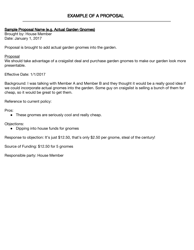#### Sample Proposal Name (e.g. Actual Garden Gnomes)

Brought by: House Member Date: January 1, 2017

Proposal is brought to add actual garden gnomes into the garden.

#### Proposal

We should take advantage of a craigslist deal and purchase garden gnomes to make our garden look more presentable.

Effective Date: 1/1/2017

Background: I was talking with Member A and Member B and they thought it would be a really good idea if we could incorporate actual gnomes into the garden. Some guy on craigslist is selling a bunch of them for cheap, so it would be great to get them.

Reference to current policy:

Pros:

• These gnomes are seriously cool and really cheap.

Objections:

● Dipping into house funds for gnomes

Response to objection: It's just \$12.50, that's only \$2.50 per gnome, steal of the century!

Source of Funding: \$12.50 for 5 gnomes

Responsible party: House Member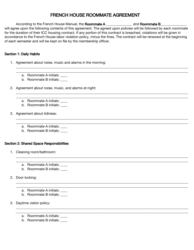#### FRENCH HOUSE ROOMMATE AGREEMENT

According to the French House Manual, the Roommate A \_\_\_\_\_\_\_\_\_\_\_\_\_\_\_\_\_\_\_\_\_ and Roommate B\_\_\_\_ will agree upon the following contents of this agreement. The agreed upon policies will be followed by each roommate for the duration of their ICC housing contract. If any portion of this contract is breached, violations will be given in accordance to the French House labor violation policy, minus the fines. The contract will be renewed at the beginning of each semester and will be kept on file by the membership officer.

\_\_\_\_\_\_\_\_\_\_\_\_\_\_\_\_\_\_\_\_\_\_\_\_\_\_\_\_\_\_\_\_\_\_\_\_\_\_\_\_\_\_\_\_\_\_\_\_\_\_\_\_\_\_\_\_\_\_\_\_\_\_\_\_\_\_\_\_\_\_\_\_\_\_\_\_\_\_\_\_\_\_\_\_\_\_\_\_\_\_\_\_\_\_\_\_\_\_\_ \_\_\_\_\_\_\_\_\_\_\_\_\_\_\_\_\_\_\_\_\_\_\_\_\_\_\_\_\_\_\_\_\_\_\_\_\_\_\_\_\_\_\_\_\_\_\_\_\_\_\_\_\_\_\_\_\_\_\_\_\_\_\_\_\_\_\_\_\_\_\_\_\_\_\_\_\_\_\_\_\_\_\_\_\_\_\_\_\_\_\_\_\_\_\_\_\_\_\_

\_\_\_\_\_\_\_\_\_\_\_\_\_\_\_\_\_\_\_\_\_\_\_\_\_\_\_\_\_\_\_\_\_\_\_\_\_\_\_\_\_\_\_\_\_\_\_\_\_\_\_\_\_\_\_\_\_\_\_\_\_\_\_\_\_\_\_\_\_\_\_\_\_\_\_\_\_\_\_\_\_\_\_\_\_\_\_\_\_\_\_\_\_\_\_\_\_\_\_ \_\_\_\_\_\_\_\_\_\_\_\_\_\_\_\_\_\_\_\_\_\_\_\_\_\_\_\_\_\_\_\_\_\_\_\_\_\_\_\_\_\_\_\_\_\_\_\_\_\_\_\_\_\_\_\_\_\_\_\_\_\_\_\_\_\_\_\_\_\_\_\_\_\_\_\_\_\_\_\_\_\_\_\_\_\_\_\_\_\_\_\_\_\_\_\_\_\_\_

\_\_\_\_\_\_\_\_\_\_\_\_\_\_\_\_\_\_\_\_\_\_\_\_\_\_\_\_\_\_\_\_\_\_\_\_\_\_\_\_\_\_\_\_\_\_\_\_\_\_\_\_\_\_\_\_\_\_\_\_\_\_\_\_\_\_\_\_\_\_\_\_\_\_\_\_\_\_\_\_\_\_\_\_\_\_\_\_\_\_\_\_\_\_\_\_\_\_\_ \_\_\_\_\_\_\_\_\_\_\_\_\_\_\_\_\_\_\_\_\_\_\_\_\_\_\_\_\_\_\_\_\_\_\_\_\_\_\_\_\_\_\_\_\_\_\_\_\_\_\_\_\_\_\_\_\_\_\_\_\_\_\_\_\_\_\_\_\_\_\_\_\_\_\_\_\_\_\_\_\_\_\_\_\_\_\_\_\_\_\_\_\_\_\_\_\_\_\_

\_\_\_\_\_\_\_\_\_\_\_\_\_\_\_\_\_\_\_\_\_\_\_\_\_\_\_\_\_\_\_\_\_\_\_\_\_\_\_\_\_\_\_\_\_\_\_\_\_\_\_\_\_\_\_\_\_\_\_\_\_\_\_\_\_\_\_\_\_\_\_\_\_\_\_\_\_\_\_\_\_\_\_\_\_\_\_\_\_\_\_\_\_\_\_\_\_\_\_ \_\_\_\_\_\_\_\_\_\_\_\_\_\_\_\_\_\_\_\_\_\_\_\_\_\_\_\_\_\_\_\_\_\_\_\_\_\_\_\_\_\_\_\_\_\_\_\_\_\_\_\_\_\_\_\_\_\_\_\_\_\_\_\_\_\_\_\_\_\_\_\_\_\_\_\_\_\_\_\_\_\_\_\_\_\_\_\_\_\_\_\_\_\_\_\_\_\_\_

\_\_\_\_\_\_\_\_\_\_\_\_\_\_\_\_\_\_\_\_\_\_\_\_\_\_\_\_\_\_\_\_\_\_\_\_\_\_\_\_\_\_\_\_\_\_\_\_\_\_\_\_\_\_\_\_\_\_\_\_\_\_\_\_\_\_\_\_\_\_\_\_\_\_\_\_\_\_\_\_\_\_\_\_\_\_\_\_\_\_\_\_\_\_\_\_\_\_\_ \_\_\_\_\_\_\_\_\_\_\_\_\_\_\_\_\_\_\_\_\_\_\_\_\_\_\_\_\_\_\_\_\_\_\_\_\_\_\_\_\_\_\_\_\_\_\_\_\_\_\_\_\_\_\_\_\_\_\_\_\_\_\_\_\_\_\_\_\_\_\_\_\_\_\_\_\_\_\_\_\_\_\_\_\_\_\_\_\_\_\_\_\_\_\_\_\_\_\_

\_\_\_\_\_\_\_\_\_\_\_\_\_\_\_\_\_\_\_\_\_\_\_\_\_\_\_\_\_\_\_\_\_\_\_\_\_\_\_\_\_\_\_\_\_\_\_\_\_\_\_\_\_\_\_\_\_\_\_\_\_\_\_\_\_\_\_\_\_\_\_\_\_\_\_\_\_\_\_\_\_\_\_\_\_\_\_\_\_\_\_\_\_\_\_\_\_\_\_ \_\_\_\_\_\_\_\_\_\_\_\_\_\_\_\_\_\_\_\_\_\_\_\_\_\_\_\_\_\_\_\_\_\_\_\_\_\_\_\_\_\_\_\_\_\_\_\_\_\_\_\_\_\_\_\_\_\_\_\_\_\_\_\_\_\_\_\_\_\_\_\_\_\_\_\_\_\_\_\_\_\_\_\_\_\_\_\_\_\_\_\_\_\_\_\_\_\_\_

#### Section 1: Daily Habits

- 1. Agreement about noise, music and alarms in the morning:
	- a. Roommate A initials:
	- b. Roommate B initials: \_\_\_\_
- 2. Agreement about noise, music, and alarms at night:
	- a. Roommate A initials: \_\_\_\_
	- b. Roommate B initials:
- 3. Agreement about tidiness:
	- a. Roommate A initials:
	- b. Roommate B initials: \_\_\_\_

#### Section 2: Shared Space Responsibilities

- 1. Cleaning room/bathroom:
	- a. Roommate A initials:
	- b. Roommate B initials:
- 2. Door locking:
	- a. Roommate A initials:
	- b. Roommate B initials:
- 3. Daytime visitor policy:
	- a. Roommate A initials: \_\_\_\_
	- b. Roommate B initials: \_\_\_\_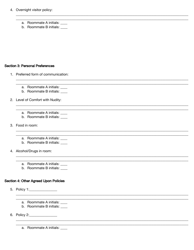#### 4. Overnight visitor policy:

- a. Roommate A initials:
- b. Roommate B initials: \_\_\_\_

#### **Section 3: Personal Preferences**

- 1. Preferred form of communication:
	- a. Roommate A initials:
	- b. Roommate B initials: \_\_\_\_
- 2. Level of Comfort with Nudity:
	- a. Roommate A initials: \_\_\_\_
	- b. Roommate B initials: \_\_\_\_
- 3. Food in room:
	- a. Roommate A initials: \_\_\_\_
	- b. Roommate B initials:
- 4. Alcohol/Drugs in room:
	- a. Roommate A initials:
	- b. Roommate B initials: \_\_\_\_

#### Section 4: Other Agreed Upon Policies

- 5. Policy 1:\_\_\_\_\_\_\_\_\_\_\_\_\_\_\_
	- a. Roommate A initials:
	- b. Roommate B initials: \_\_\_\_
- 6. Policy 2:\_\_\_\_\_\_\_\_\_\_\_\_\_\_\_\_\_\_

a. Roommate A initials: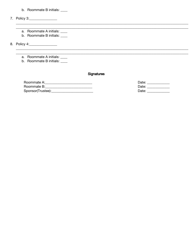- b. Roommate B initials: \_\_\_\_
- 7. Policy 3:\_\_\_\_\_\_\_\_\_\_\_\_\_\_\_\_\_
	- a. Roommate A initials: \_\_\_\_
	- b. Roommate B initials: \_\_\_\_

8. Policy 4:\_\_\_\_\_\_\_\_\_\_\_\_\_\_\_\_\_\_

- a. Roommate A initials: \_\_\_\_
- b. Roommate B initials: \_\_\_\_

#### Signatures

| Roommate A:       |  |
|-------------------|--|
| Roommate B:       |  |
| Sponsor(Trustee): |  |

Date: \_\_\_\_\_\_\_\_\_\_\_\_\_\_ Date: \_\_\_\_\_\_\_\_\_\_\_\_\_\_ Date: \_\_\_\_\_\_\_\_\_\_\_\_\_\_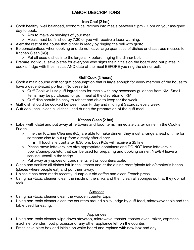#### LABOR DESCRIPTIONS

#### Iron Chef (2 hrs)

- Cook healthy, well balanced, economical recipes into meals between 5 pm 7 pm on your assigned day to cook.
	- Aim to make 24 servings of your meal.
	- Meals must be finished by 7:30 or you will receive a labor warning.
- Alert the rest of the house that dinner is ready by ringing the bell with gusto.
- Be conscientious when cooking and do not leave large quantities of dishes or disastrous messes for Kitchen Clean (KC).
	- Put all used dishes into the large sink before ringing the dinner bell.
- Prepare individual save plates for everyone who signs their initials on the board and put plates in cook's fridge with their initials AND date of the meal BEFORE you ring the dinner bell.

#### Guff Cook (2 hours)

- Cook a main course dish for guff consumption that is large enough for every member of the house to have a decent-sized portion. (No desserts)
	- o Guff Cook will use guff ingredients for meals with any necessary guidance from KM. Small items may be purchased for guff meal at the discretion of KM.
	- o Guff dish should be easy to reheat and able to keep for the week.
- Guff dish should be cooked between noon Friday and midnight Saturday every week.
- Guff cook shall clean all dishes used during the preparation of the guff meal.

#### Kitchen Clean (2 hrs)

- Label (with date) and put away all leftovers and food items immediately after dinner in the Cook's Fridge.
	- If neither Kitchen Cleaners (KC) are able to make dinner, they must arrange ahead of time for someone else to put up food directly after dinner.
		- If food is left out after 8:30 pm, both KCs will receive a \$5 fine.
	- Please move leftovers into size appropriate containers and DO NOT leave leftovers in bowls/pans/pots/etc. that can be used for preparing and cooking dinner. NEVER leave a serving utensil in the fridge.
	- Put away any spices or condiments left on counters/table.
- Clean and sanitize all dishes left in the kitchen and at the dining room/picnic table/smoker's bench (places where people eat) and put them away.
- Unless it has been made recently, dump out old coffee and clean French press.
- Using non-toxic cleaner, clean the inside of the sinks and then clean all sponges so that they do not reek.

#### **Surfaces**

- Using non-toxic cleaner clean the wooden counter tops.
- Using non-toxic cleaner clean the counters around sinks, ledge by guff food, microwave table and the table used for eating.

#### **Appliances**

- Using non-toxic cleaner wipe down stovetop, microwave, toaster, toaster oven, mixer, espresso machine, blender, food processor or any other appliance left on the counter.
- Erase save plate box and initials on white board and replace with new box and day.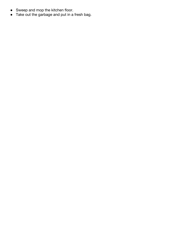- Sweep and mop the kitchen floor.
- Take out the garbage and put in a fresh bag.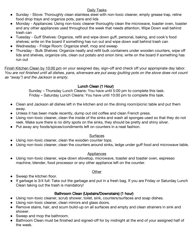#### Daily Tasks

- Sunday Stove: Thoroughly clean stainless steel with non-toxic cleaner, empty grease trap, reline food drop trays and organize pots, pans and lids
- Monday Appliances: Using non-toxic cleaner thoroughly clean the microwave, toaster oven, toaster and any other appliances used throughout the week that needs attention, Wipe Down wall behind trash can
- Tuesday Guff Shelves: Organize, refill and wipe down guff, personal, baking, and cook's food shelves; write on the board if something has run out and wipe down wall behind trash can
- Wednesday Fridge Room: Organize shelf, mop and sweep
- Thursday Bulk Shelves: Organize neatly and refill bulk containers under wooden counters, wipe off lids and shelves, organize oils, clean out potato and onion bins; write on the board if something has run out

Finish Kitchen Clean by 10:00 pm on your assigned day, sign-off and check off your appropriate day labor. You are not finished until all dishes, pans, silverware are put away (putting pots on the stove does not count as "away") and the Jackson is empty.

#### Lunch Clean (1 Hour)

Sunday – Thursday Lunch Cleans: You have until 5:00 pm to complete this task. Friday – Saturday Lunch Cleans: You have until 10:00 pm to complete this task.

- Clean and Jackson all dishes left in the kitchen and on the dining room/picnic table and put them away.
- Unless it has been made recently, dump out old coffee and clean French press.
- Using non-toxic cleaner, clean the inside of the sinks and wash all sponges used so that they do not reek. Make sure there is no dirty spots on the sinks, they should be pretty and shiny silver.
- Put away any foods/spices/condiments left on counters in a neat fashion.

#### **Surfaces**

- Using non-toxic cleaner, clean the wooden counter tops.
- Using non-toxic cleaner, clean the counters around sinks, ledge under guff food and microwave table.

#### **Appliances**

● Using non-toxic cleaner, wipe down stovetop, microwave, toaster and toaster oven, espresso machine, blender, food processor or any other appliance left on the counter.

#### **Other**

- Sweep the kitchen floor.
- If garbage is 3/4 full: Take out the garbage and put in a fresh bag. If you are Friday or Saturday Lunch Clean taking out the trash is mandatory!

#### Bathroom Clean (Upstairs/Downstairs) (1 hour)

- Using non-toxic cleaner, scrub shower, toilet, sink, counters/surfaces and soap dishes.
- Using non-toxic cleaner, clean mirrors and glass doors.
- Remove stains, hair, and scum build-up on all surfaces and empty and clean strainers in sink and shower.
- Sweep and mop the bathroom.
- Bathroom Clean must be finished and signed-off for by midnight at the end of your assigned half of the week.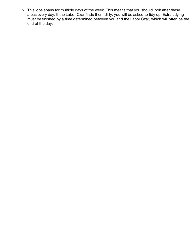○ This jobs spans for multiple days of the week. This means that you should look after these areas every day. If the Labor Czar finds them dirty, you will be asked to tidy up. Extra tidying must be finished by a time determined between you and the Labor Czar, which will often be the end of the day.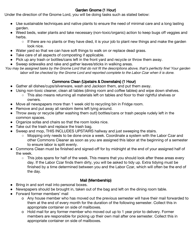#### Garden Gnome (1 Hour)

Under the direction of the Gnome Lord, you will be doing tasks such as stated below:

- Use sustainable techniques and native plants to ensure the need of minimal care and a long lasting garden.
- Weed beds, water plants and take necessary (non-toxic/organic) action to keep bugs off veggies and herbs.
	- If there are no plants or they have died, it is your job to plant new things and make the garden look nice.
- Water yard so that we can have soft things to walk on or replace dead grass.
- Take care of all aspects of composting if applicable.
- Pick up any trash or bottles/cans left in the front yard and recycle or throw them away.
- Sweep sidewalks and rake and gather leaves/sticks in walking areas.

You may be assigned tasks by the Gnome Lord that do not fit the descriptions above, that's perfectly fine! Your garden labor will be checked by the Gnome Lord and reported complete to the Labor Czar when it is done.

#### Commons Clean (Upstairs & Downstairs) (1 Hour)

- Gather all dishes/cups/silverware, wash and Jackson them, and put them away.
- Using non-toxic cleaner, clean all tables (dining room and coffee tables) and wipe down shelves.
	- This also means returning all materials left on tables and floor to their rightful shelves or owners.
- Move all newspapers more than 1 week old to recycling bin in Fridge room.
- Remove and put away all random items left lying around.
- Throw away or recycle (after washing them out!) bottles/cans or trash people rudely left in the common spaces.
- Organize sofas and chairs so that the room looks nice.
- Take out the trash and replace the trash bag.
- Sweep and mop, THIS INCLUDES UPSTAIRS hallway and just sweeping the stairs.
	- Mopping only needs to be done once a week. Coordinate a system with the Labor Czar and other Commons Cleaner as soon as you are assigned this labor at the beginning of a semester to ensure labor is split evenly.
- Commons Clean must be finished and signed-off for by midnight at the end of your assigned half of the week.
	- This jobs spans for half of the week. This means that you should look after these areas every day. If the Labor Czar finds them dirty, you will be asked to tidy up. Extra tidying must be finished by a time determined between you and the Labor Czar, which will often be the end of the day.

#### Mail (Membership)

- Bring in and sort mail into personal boxes.
- Newspapers should be brought in, taken out of the bag and left on the dining room table.
- Forward former members' mail
	- o Any house member who has moved out the previous semester will have their mail forwarded to them at the end of every month for the duration of the following semester. Collect this in appropriate container on side of mailboxes.
	- o Hold mail for any former member who moved out up to 1 year prior to delivery. Former members are responsible for picking up their own mail after one semester. Collect this in appropriate container on side of mailboxes.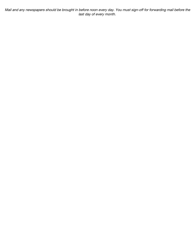Mail and any newspapers should be brought in before noon every day. You must sign-off for forwarding mail before the last day of every month.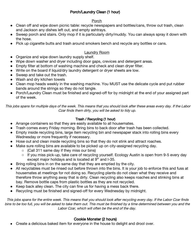#### Porch/Laundry Clean (1 hour)

#### Porch

- Clean off and wipe down picnic table: recycle newspapers and bottles/cans, throw out trash, clean and Jackson any dishes left out, and empty ashtrays.
- Sweep porch and stairs. Only mop if it is particularly dirty/muddy. You can always spray it down with the hose.
- Pick up cigarette butts and trash around smokers bench and recycle any bottles or cans.

#### Laundry Room

- Organize and wipe down laundry supply shelf.
- Wipe down washer and dryer including door gaps, crevices and detergent areas.
- Empty filter at bottom of washing machine and check and clean dryer filter.
- Write on the board if liquid/dry laundry detergent or dryer sheets are low.
- Sweep and take out the trash.
- Wash and dry kitchen towels
- Clean mop heads weekly in the washing machine. You MUST use the delicate cycle and put rubber bands around the strings so they do not tangle.
- Porch/Laundry Clean must be finished and signed-off for by midnight at the end of your assigned part of the week.

This jobs spans for multiple days of the week. This means that you should look after these areas every day. If the Labor Czar finds them dirty, you will be asked to tidy up.

#### Trash / Recycling (1 hour)

- Arrange containers so that they are easily available to all housemates.
- Trash comes every Friday morning. Bring bins to back door after trash has been collected.
- Empty inside recycling bins, large item recycling bin and newspaper stack into rolling bins every Wednesday or more frequently if necessary.
- Hose out and clean inside recycling bins so that they do not stink and attract roaches.
- Make sure rolling bins are available to be picked up on city-assigned recycling day.
	- (Call 311 same day if they miss our bins)
	- o If you miss pick-up, take care of recycling yourself. Ecology Austin is open from 9-5 every day except major holidays and is located at  $9<sup>th</sup>$  and I-35.
- Bring rolling bins in on the same day that they are emptied by the city.
- All recyclables must be rinsed out before thrown into the bins. It is your job to enforce this and fuss at housemates at meetings for not doing so. Recycling plants do not clean what they receive and therefore throw anything away that is dirty. Clean recycling also keeps roaches and stinking bins at bay. Remove bottle caps from plastic bottles as they are not recycled.
- Keep back alley clean. The city can fine us for having a mess back there.
- Recycling must be finished and signed-off for every Wednesday by midnight.

This jobs spans for the entire week. This means that you should look after recycling every day. If the Labor Czar finds bins to be too full, you will be asked to take them out. This must be finished by <sup>a</sup> time determined between you and the Labor Czar, which will often be the end of the day.

#### Cookie Monster (2 hours)

Create a delicious baked item for everyone in the house to delight and drool over.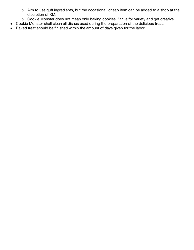- o Aim to use guff ingredients, but the occasional, cheap item can be added to a shop at the discretion of KM.
- o Cookie Monster does not mean only baking cookies. Strive for variety and get creative.
- Cookie Monster shall clean all dishes used during the preparation of the delicious treat.
- Baked treat should be finished within the amount of days given for the labor.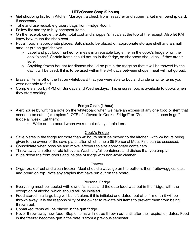#### HEB/Costco Shop (2 hours)

- Get shopping list from Kitchen Manager, a check from Treasurer and supermarket membership card, if necessary.
- Take and use reusable grocery bags from Fridge Room.
- Follow list and try to buy cheapest items.
- On the receipt, circle the date, total cost and shopper's initials at the top of the receipt. Also let KM know how much the shop cost.
- Put all food in appropriate places. Bulk should be placed on appropriate storage shelf and a small amount put on guff shelves.
	- Label and put food marked for meals in a reusable bag either in the cook's fridge or on the cook's shelf. Certain items should not go in the fridge, so shoppers should ask if they aren't sure.
	- Anything frozen bought for dinners should be put in the fridge so that it will be thawed by the day it will be used. If it is to be used within the 3-4 days between shops, meat will not go bad.
- Erase all items off of the list on whiteboard that you were able to buy and circle or write items you were not able to find.
- Complete shop by 4PM on Sundays and Wednesdays. This ensures food is available to cooks when they start cooking.

#### Fridge Clean (1 hour)

- Alert house by writing a note on the whiteboard when we have an excess of any one food or item that needs to be eaten (examples: "LOTS of leftovers in Cook's Fridge!" or "Zucchini has been in guff fridge all week. Eat them!")
	- Write on the board when we run out of any staple item.

#### Cook's Fridge

- Save plates in the fridge for more than 48 hours must be moved to the kitchen, with 24 hours being given to the owner of the save plate, after which time a \$5 Personal Mess Fine can be assessed.
- Consolidate when possible and move leftovers to size appropriate containers.
- Throw away all rotten or old leftovers. Wash any/all containers and dishes that you empty.
- Wipe down the front doors and insides of fridge with non-toxic cleaner.

#### Freezer

● Organize, defrost and clean freezer. Meat should always go on the bottom, then fruits/veggies, etc., and bread on top. Note any staples that have run out on the board.

#### Personal Fridge

- Everything must be labeled with owner's initials and the date food was put in the fridge, with the exception of alcohol which should still be initialed.
- Food stored in a large bag will be left alone if it is initialed and dated, but after 1 month it will be thrown away. It is the responsibility of the owner to re-date old items to prevent them from being thrown out.
- Unmarked items will be placed in the guff fridge.
- Never throw away new food. Staple items will not be thrown out until after their expiration dates. Food in the freezer becomes guff if the date is from a previous semester.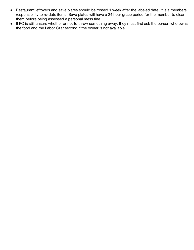- Restaurant leftovers and save plates should be tossed 1 week after the labeled date. It is a members responsibility to re-date items. Save plates will have a 24 hour grace period for the member to clean them before being assessed a personal mess fine.
- If FC is still unsure whether or not to throw something away, they must first ask the person who owns the food and the Labor Czar second if the owner is not available.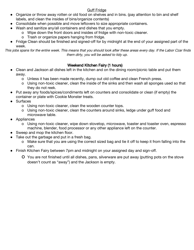#### Guff Fridge

- Organize or throw away rotten or old food on shelves and in bins. (pay attention to bin and shelf labels, and clean the insides of bins/organize contents)
- Consolidate when possible and move leftovers to size appropriate containers.
- Wash and sanitize any/all containers and dishes that you empty.
	- o Wipe down the front doors and insides of fridge with non-toxic cleaner.
	- o Trash or organize papers hanging from fridge.
- Fridge Clean should be finished and signed-off for by midnight at the end of your assigned part of the week.

This jobs spans for the entire week. This means that you should look after these areas every day. If the Labor Czar finds them dirty, you will be asked to tidy up.

#### Weekend Kitchen Fairy (1 hours)

- Clean and Jackson all dishes left in the kitchen and on the dining room/picnic table and put them away.
	- o Unless it has been made recently, dump out old coffee and clean French press.
	- o Using non-toxic cleaner, clean the inside of the sinks and then wash all sponges used so that they do not reek.
- Put away any foods/spices/condiments left on counters and consolidate or clean (if empty) the container or plate with Cookie Monster treats.
- **Surfaces** 
	- o Using non-toxic cleaner, clean the wooden counter tops.
	- o Using non-toxic cleaner, clean the counters around sinks, ledge under guff food and microwave table.
- Appliances
	- o Using non-toxic cleaner, wipe down stovetop, microwave, toaster and toaster oven, espresso machine, blender, food processor or any other appliance left on the counter.
- Sweep and mop the kitchen floor.
- Take out the garbage and put in a fresh bag.
	- o Make sure that you are using the correct sized bag and tie it off to keep it from falling into the can.
- Finish Kitchen Fairy between 7pm and midnight on your assigned day and sign-off.
	- o You are not finished until all dishes, pans, silverware are put away (putting pots on the stove doesn't count as "away") and the Jackson is empty.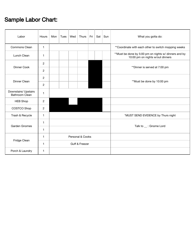## Sample Labor Chart:

| Labor                                         | Hours          | Mon              | Tues | Wed | Thurs | Fri | Sat $ $ | Sun | What you gotta do:                                                                         |  |  |
|-----------------------------------------------|----------------|------------------|------|-----|-------|-----|---------|-----|--------------------------------------------------------------------------------------------|--|--|
| Commons Clean                                 | $\mathbf{1}$   |                  |      |     |       |     |         |     | ** Coordinate with each other to switch mopping weeks                                      |  |  |
| Lunch Clean                                   | 1              |                  |      |     |       |     |         |     | ** Must be done by 5:00 pm on nights w/ dinners and by<br>10:00 pm on nights w/out dinners |  |  |
| Dinner Cook                                   | 2              |                  |      |     |       |     |         |     | **Dinner is served at 7:00 pm                                                              |  |  |
|                                               | $\overline{2}$ |                  |      |     |       |     |         |     |                                                                                            |  |  |
| Dinner Clean                                  | $\overline{2}$ |                  |      |     |       |     |         |     |                                                                                            |  |  |
|                                               | 2              |                  |      |     |       |     |         |     | **Must be done by 10:00 pm                                                                 |  |  |
| Downstairs/ Upstairs<br><b>Bathroom Clean</b> | $\mathbf{1}$   |                  |      |     |       |     |         |     |                                                                                            |  |  |
| <b>HEB Shop</b>                               | $\overline{2}$ |                  |      |     |       |     |         |     |                                                                                            |  |  |
| COSTCO Shop                                   | $\overline{2}$ |                  |      |     |       |     |         |     |                                                                                            |  |  |
| Trash & Recycle                               | $\mathbf{1}$   |                  |      |     |       |     |         |     | *MUST SEND EVIDENCE by Thurs night                                                         |  |  |
| <b>Garden Gnomes</b>                          | $\mathbf{1}$   |                  |      |     |       |     |         |     |                                                                                            |  |  |
|                                               | $\mathbf{1}$   |                  |      |     |       |     |         |     | Talk to _: Gnome Lord                                                                      |  |  |
| Fridge Clean                                  | $\overline{1}$ | Personal & Cooks |      |     |       |     |         |     |                                                                                            |  |  |
|                                               | $\mathbf{1}$   | Guff & Freezer   |      |     |       |     |         |     |                                                                                            |  |  |
| Porch & Laundry                               | $\mathbf{1}$   |                  |      |     |       |     |         |     |                                                                                            |  |  |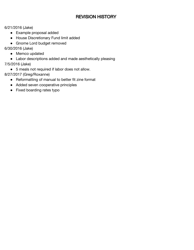#### REVISION HISTORY

6/21/2016 (Jake)

- Example proposal added
- House Discretionary Fund limit added
- Gnome Lord budget removed
- 6/30/2016 (Jake)
	- Memco updated
	- Labor descriptions added and made aesthetically pleasing
- 7/5/2016 (Jake)
	- 5 meals not required if labor does not allow.
- 8/27/2017 (Greg/Roxanne)
	- Reformatting of manual to better fit zine format
	- Added seven cooperative principles
	- Fixed boarding rates typo